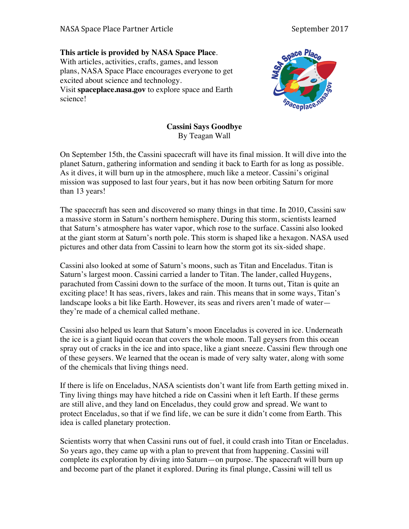## **This article is provided by NASA Space Place**.

With articles, activities, crafts, games, and lesson plans, NASA Space Place encourages everyone to get excited about science and technology. Visit **spaceplace.nasa.gov** to explore space and Earth science!



## **Cassini Says Goodbye** By Teagan Wall

On September 15th, the Cassini spacecraft will have its final mission. It will dive into the planet Saturn, gathering information and sending it back to Earth for as long as possible. As it dives, it will burn up in the atmosphere, much like a meteor. Cassini's original mission was supposed to last four years, but it has now been orbiting Saturn for more than 13 years!

The spacecraft has seen and discovered so many things in that time. In 2010, Cassini saw a massive storm in Saturn's northern hemisphere. During this storm, scientists learned that Saturn's atmosphere has water vapor, which rose to the surface. Cassini also looked at the giant storm at Saturn's north pole. This storm is shaped like a hexagon. NASA used pictures and other data from Cassini to learn how the storm got its six-sided shape.

Cassini also looked at some of Saturn's moons, such as Titan and Enceladus. Titan is Saturn's largest moon. Cassini carried a lander to Titan. The lander, called Huygens, parachuted from Cassini down to the surface of the moon. It turns out, Titan is quite an exciting place! It has seas, rivers, lakes and rain. This means that in some ways, Titan's landscape looks a bit like Earth. However, its seas and rivers aren't made of water they're made of a chemical called methane.

Cassini also helped us learn that Saturn's moon Enceladus is covered in ice. Underneath the ice is a giant liquid ocean that covers the whole moon. Tall geysers from this ocean spray out of cracks in the ice and into space, like a giant sneeze. Cassini flew through one of these geysers. We learned that the ocean is made of very salty water, along with some of the chemicals that living things need.

If there is life on Enceladus, NASA scientists don't want life from Earth getting mixed in. Tiny living things may have hitched a ride on Cassini when it left Earth. If these germs are still alive, and they land on Enceladus, they could grow and spread. We want to protect Enceladus, so that if we find life, we can be sure it didn't come from Earth. This idea is called planetary protection.

Scientists worry that when Cassini runs out of fuel, it could crash into Titan or Enceladus. So years ago, they came up with a plan to prevent that from happening. Cassini will complete its exploration by diving into Saturn—on purpose. The spacecraft will burn up and become part of the planet it explored. During its final plunge, Cassini will tell us